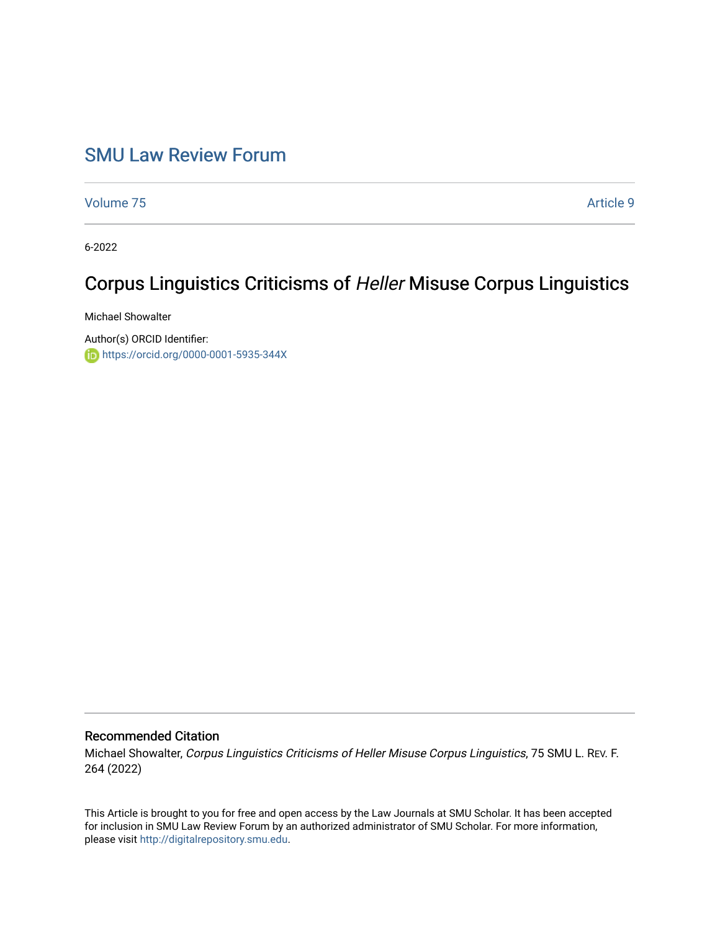## [SMU Law Review Forum](https://scholar.smu.edu/smulrforum)

[Volume 75](https://scholar.smu.edu/smulrforum/vol75) [Article 9](https://scholar.smu.edu/smulrforum/vol75/iss1/9) 

6-2022

# Corpus Linguistics Criticisms of Heller Misuse Corpus Linguistics

Michael Showalter

Author(s) ORCID Identifier: <https://orcid.org/0000-0001-5935-344X>

### Recommended Citation

Michael Showalter, Corpus Linguistics Criticisms of Heller Misuse Corpus Linguistics, 75 SMU L. REV. F. 264 (2022)

This Article is brought to you for free and open access by the Law Journals at SMU Scholar. It has been accepted for inclusion in SMU Law Review Forum by an authorized administrator of SMU Scholar. For more information, please visit [http://digitalrepository.smu.edu.](http://digitalrepository.smu.edu/)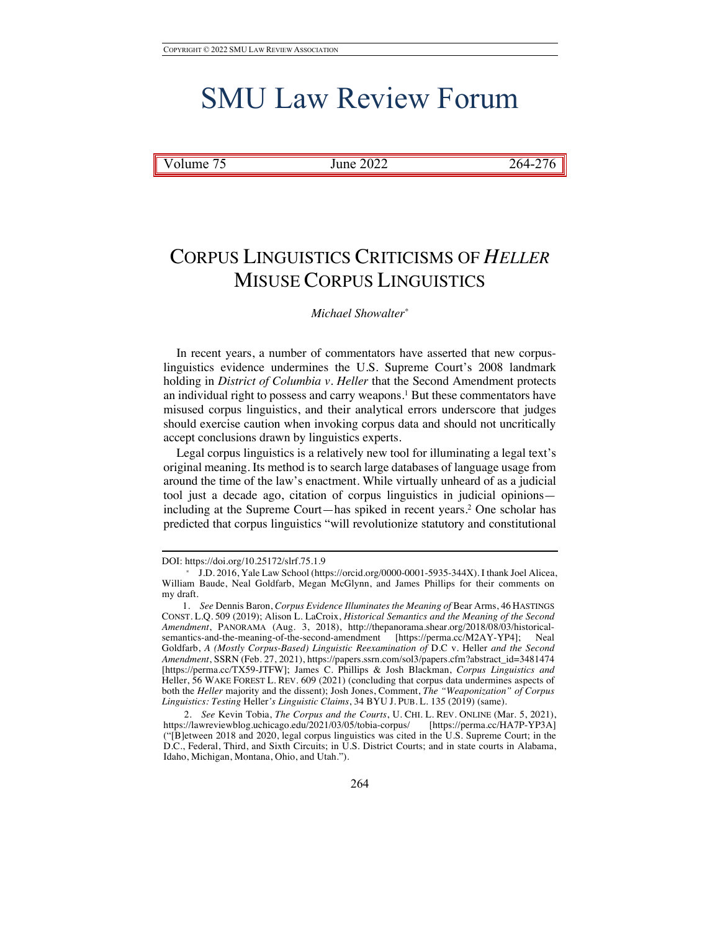# SMU Law Review Forum

Volume 75 June 2022 264-276

# CORPUS LINGUISTICS CRITICISMS OF *HELLER*  MISUSE CORPUS LINGUISTICS

### *Michael Showalter\**

In recent years, a number of commentators have asserted that new corpuslinguistics evidence undermines the U.S. Supreme Court's 2008 landmark holding in *District of Columbia v. Heller* that the Second Amendment protects an individual right to possess and carry weapons.1 But these commentators have misused corpus linguistics, and their analytical errors underscore that judges should exercise caution when invoking corpus data and should not uncritically accept conclusions drawn by linguistics experts.

Legal corpus linguistics is a relatively new tool for illuminating a legal text's original meaning. Its method is to search large databases of language usage from around the time of the law's enactment. While virtually unheard of as a judicial tool just a decade ago, citation of corpus linguistics in judicial opinions including at the Supreme Court—has spiked in recent years.2 One scholar has predicted that corpus linguistics "will revolutionize statutory and constitutional

DOI: https://doi.org/10.25172/slrf.75.1.9

<sup>\*</sup> J.D. 2016, Yale Law School (https://orcid.org/0000-0001-5935-344X). I thank Joel Alicea, William Baude, Neal Goldfarb, Megan McGlynn, and James Phillips for their comments on my draft.

<sup>1.</sup> *See* Dennis Baron, *Corpus Evidence Illuminates the Meaning of* Bear Arms, 46 HASTINGS CONST. L.Q. 509 (2019); Alison L. LaCroix, *Historical Semantics and the Meaning of the Second Amendment*, PANORAMA (Aug. 3, 2018), http://thepanorama.shear.org/2018/08/03/historicalsemantics-and-the-meaning-of-the-second-amendment [https://perma.cc/M2AY-YP4]; Goldfarb, *A (Mostly Corpus-Based) Linguistic Reexamination of* D.C v. Heller *and the Second Amendment*, SSRN (Feb. 27, 2021), https://papers.ssrn.com/sol3/papers.cfm?abstract\_id=3481474 [https://perma.cc/TX59-JTFW]; James C. Phillips & Josh Blackman, *Corpus Linguistics and*  Heller, 56 WAKE FOREST L. REV. 609 (2021) (concluding that corpus data undermines aspects of both the *Heller* majority and the dissent); Josh Jones, Comment, *The "Weaponization" of Corpus Linguistics: Testing* Heller*'s Linguistic Claims*, 34 BYU J. PUB. L. 135 (2019) (same).

<sup>2.</sup> *See* Kevin Tobia, *The Corpus and the Courts*, U. CHI. L. REV. ONLINE (Mar. 5, 2021), https://lawreviewblog.uchicago.edu/2021/03/05/tobia-corpus/ [https://perma.cc/HA7P-YP3A] ("[B]etween 2018 and 2020, legal corpus linguistics was cited in the U.S. Supreme Court; in the D.C., Federal, Third, and Sixth Circuits; in U.S. District Courts; and in state courts in Alabama, Idaho, Michigan, Montana, Ohio, and Utah.").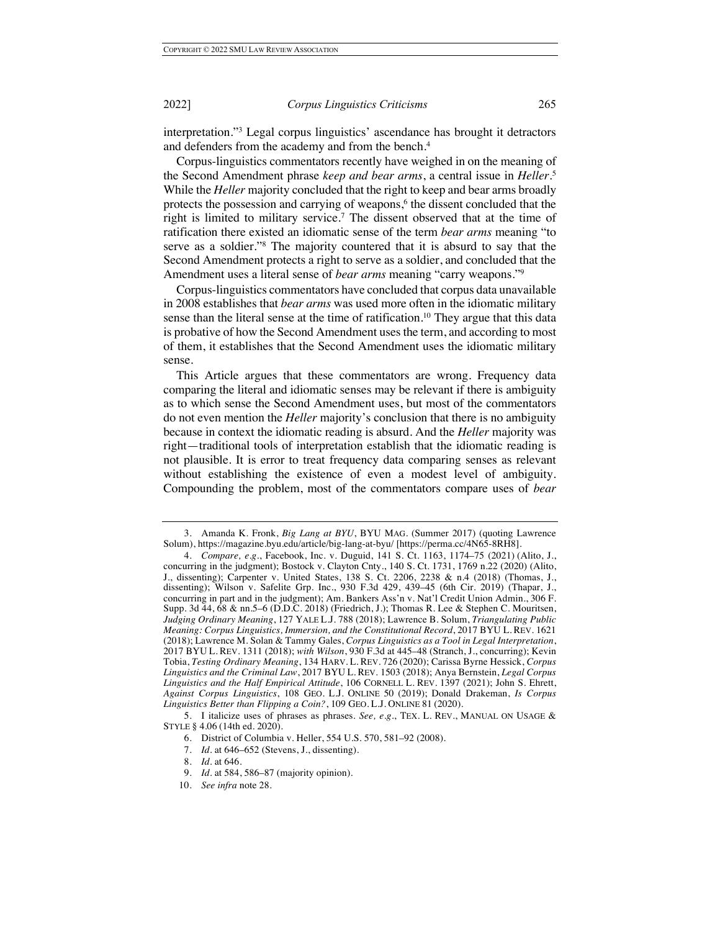interpretation."3 Legal corpus linguistics' ascendance has brought it detractors and defenders from the academy and from the bench.4

Corpus-linguistics commentators recently have weighed in on the meaning of the Second Amendment phrase *keep and bear arms*, a central issue in *Heller*. 5 While the *Heller* majority concluded that the right to keep and bear arms broadly protects the possession and carrying of weapons, $6$  the dissent concluded that the right is limited to military service.<sup>7</sup> The dissent observed that at the time of ratification there existed an idiomatic sense of the term *bear arms* meaning "to serve as a soldier."8 The majority countered that it is absurd to say that the Second Amendment protects a right to serve as a soldier, and concluded that the Amendment uses a literal sense of *bear arms* meaning "carry weapons."9

Corpus-linguistics commentators have concluded that corpus data unavailable in 2008 establishes that *bear arms* was used more often in the idiomatic military sense than the literal sense at the time of ratification.<sup>10</sup> They argue that this data is probative of how the Second Amendment uses the term, and according to most of them, it establishes that the Second Amendment uses the idiomatic military sense.

This Article argues that these commentators are wrong. Frequency data comparing the literal and idiomatic senses may be relevant if there is ambiguity as to which sense the Second Amendment uses, but most of the commentators do not even mention the *Heller* majority's conclusion that there is no ambiguity because in context the idiomatic reading is absurd. And the *Heller* majority was right—traditional tools of interpretation establish that the idiomatic reading is not plausible. It is error to treat frequency data comparing senses as relevant without establishing the existence of even a modest level of ambiguity. Compounding the problem, most of the commentators compare uses of *bear* 

<sup>3.</sup> Amanda K. Fronk, *Big Lang at BYU*, BYU MAG. (Summer 2017) (quoting Lawrence Solum), https://magazine.byu.edu/article/big-lang-at-byu/ [https://perma.cc/4N65-8RH8].

<sup>4.</sup> *Compare, e.g*., Facebook, Inc. v. Duguid, 141 S. Ct. 1163, 1174–75 (2021) (Alito, J., concurring in the judgment); Bostock v. Clayton Cnty., 140 S. Ct. 1731, 1769 n.22 (2020) (Alito, J., dissenting); Carpenter v. United States, 138 S. Ct. 2206, 2238 & n.4 (2018) (Thomas, J., dissenting); Wilson v. Safelite Grp. Inc., 930 F.3d 429, 439–45 (6th Cir. 2019) (Thapar, J., concurring in part and in the judgment); Am. Bankers Ass'n v. Nat'l Credit Union Admin., 306 F. Supp. 3d 44, 68 & nn.5–6 (D.D.C. 2018) (Friedrich, J.); Thomas R. Lee & Stephen C. Mouritsen, *Judging Ordinary Meaning*, 127 YALE L.J. 788 (2018); Lawrence B. Solum, *Triangulating Public Meaning: Corpus Linguistics, Immersion, and the Constitutional Record*, 2017 BYU L. REV. 1621 (2018); Lawrence M. Solan & Tammy Gales, *Corpus Linguistics as a Tool in Legal Interpretation*, 2017 BYU L. REV. 1311 (2018); *with Wilson*, 930 F.3d at 445–48 (Stranch, J., concurring); Kevin Tobia, *Testing Ordinary Meaning*, 134 HARV. L. REV. 726 (2020); Carissa Byrne Hessick, *Corpus Linguistics and the Criminal Law*, 2017 BYU L. REV. 1503 (2018); Anya Bernstein, *Legal Corpus Linguistics and the Half Empirical Attitude*, 106 CORNELL L. REV. 1397 (2021); John S. Ehrett, *Against Corpus Linguistics*, 108 GEO. L.J. ONLINE 50 (2019); Donald Drakeman, *Is Corpus Linguistics Better than Flipping a Coin?*, 109 GEO. L.J. ONLINE 81 (2020).

<sup>5.</sup> I italicize uses of phrases as phrases. *See, e.g.*, TEX. L. REV., MANUAL ON USAGE & STYLE § 4.06 (14th ed. 2020).

<sup>6.</sup> District of Columbia v. Heller, 554 U.S. 570, 581–92 (2008).

<sup>7.</sup> *Id.* at 646–652 (Stevens, J., dissenting).

<sup>8.</sup> *Id.* at 646.

<sup>9.</sup> *Id.* at 584, 586–87 (majority opinion).

<sup>10.</sup> *See infra* note 28.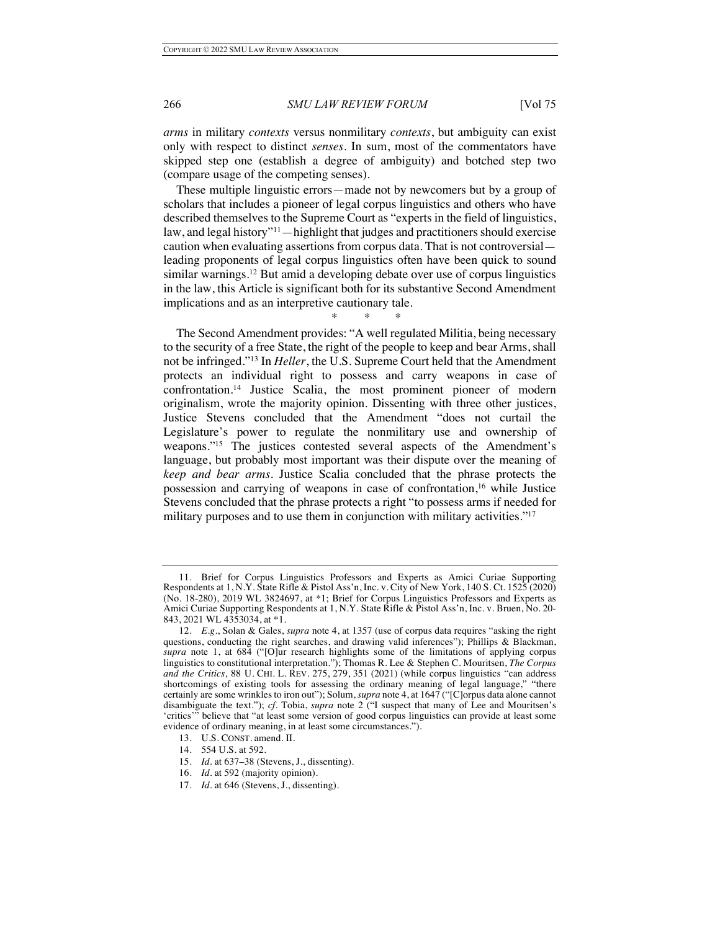*arms* in military *contexts* versus nonmilitary *contexts*, but ambiguity can exist only with respect to distinct *senses*. In sum, most of the commentators have skipped step one (establish a degree of ambiguity) and botched step two (compare usage of the competing senses).

These multiple linguistic errors—made not by newcomers but by a group of scholars that includes a pioneer of legal corpus linguistics and others who have described themselves to the Supreme Court as "experts in the field of linguistics, law, and legal history"<sup>11</sup>—highlight that judges and practitioners should exercise caution when evaluating assertions from corpus data. That is not controversial leading proponents of legal corpus linguistics often have been quick to sound similar warnings.<sup>12</sup> But amid a developing debate over use of corpus linguistics in the law, this Article is significant both for its substantive Second Amendment implications and as an interpretive cautionary tale.

\* \* \*

The Second Amendment provides: "A well regulated Militia, being necessary to the security of a free State, the right of the people to keep and bear Arms, shall not be infringed."13 In *Heller*, the U.S. Supreme Court held that the Amendment protects an individual right to possess and carry weapons in case of confrontation.14 Justice Scalia, the most prominent pioneer of modern originalism, wrote the majority opinion. Dissenting with three other justices, Justice Stevens concluded that the Amendment "does not curtail the Legislature's power to regulate the nonmilitary use and ownership of weapons."15 The justices contested several aspects of the Amendment's language, but probably most important was their dispute over the meaning of *keep and bear arms*. Justice Scalia concluded that the phrase protects the possession and carrying of weapons in case of confrontation,16 while Justice Stevens concluded that the phrase protects a right "to possess arms if needed for military purposes and to use them in conjunction with military activities."<sup>17</sup>

13. U.S. CONST. amend. II.

15. *Id.* at 637–38 (Stevens, J., dissenting).

<sup>11.</sup> Brief for Corpus Linguistics Professors and Experts as Amici Curiae Supporting Respondents at 1, N.Y. State Rifle & Pistol Ass'n, Inc. v. City of New York, 140 S. Ct. 1525 (2020) (No. 18-280), 2019 WL 3824697, at \*1; Brief for Corpus Linguistics Professors and Experts as Amici Curiae Supporting Respondents at 1, N.Y. State Rifle & Pistol Ass'n, Inc. v. Bruen, No. 20- 843, 2021 WL 4353034, at \*1.

<sup>12.</sup> *E.g.*, Solan & Gales, *supra* note 4, at 1357 (use of corpus data requires "asking the right questions, conducting the right searches, and drawing valid inferences"); Phillips & Blackman, *supra* note 1, at 684 ("[O]ur research highlights some of the limitations of applying corpus linguistics to constitutional interpretation."); Thomas R. Lee & Stephen C. Mouritsen, *The Corpus and the Critics*, 88 U. CHI. L. REV. 275, 279, 351 (2021) (while corpus linguistics "can address shortcomings of existing tools for assessing the ordinary meaning of legal language," "there certainly are some wrinkles to iron out"); Solum, *supra* note 4, at 1647 ("[C]orpus data alone cannot disambiguate the text."); *cf.* Tobia, *supra* note 2 ("I suspect that many of Lee and Mouritsen's 'critics'" believe that "at least some version of good corpus linguistics can provide at least some evidence of ordinary meaning, in at least some circumstances.").

<sup>14.</sup> 554 U.S. at 592.

<sup>16.</sup> *Id.* at 592 (majority opinion).

<sup>17.</sup> *Id.* at 646 (Stevens, J., dissenting).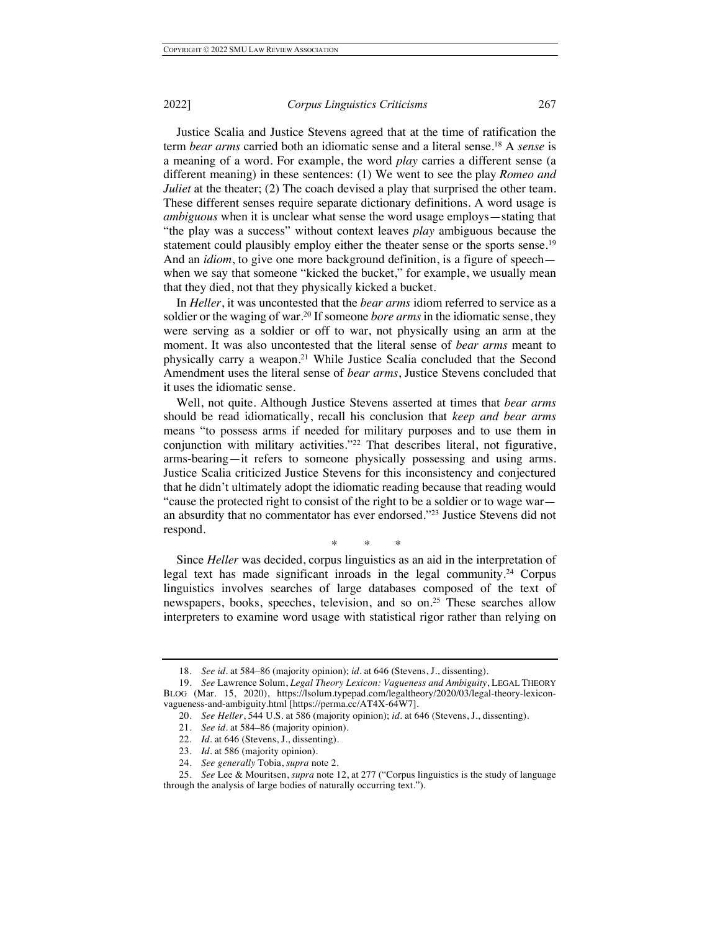Justice Scalia and Justice Stevens agreed that at the time of ratification the term *bear arms* carried both an idiomatic sense and a literal sense.18 A *sense* is a meaning of a word. For example, the word *play* carries a different sense (a different meaning) in these sentences: (1) We went to see the play *Romeo and Juliet* at the theater; (2) The coach devised a play that surprised the other team. These different senses require separate dictionary definitions. A word usage is *ambiguous* when it is unclear what sense the word usage employs—stating that "the play was a success" without context leaves *play* ambiguous because the statement could plausibly employ either the theater sense or the sports sense.<sup>19</sup> And an *idiom*, to give one more background definition, is a figure of speech when we say that someone "kicked the bucket," for example, we usually mean that they died, not that they physically kicked a bucket.

In *Heller*, it was uncontested that the *bear arms* idiom referred to service as a soldier or the waging of war.<sup>20</sup> If someone *bore arms* in the idiomatic sense, they were serving as a soldier or off to war, not physically using an arm at the moment. It was also uncontested that the literal sense of *bear arms* meant to physically carry a weapon.21 While Justice Scalia concluded that the Second Amendment uses the literal sense of *bear arms*, Justice Stevens concluded that it uses the idiomatic sense.

Well, not quite. Although Justice Stevens asserted at times that *bear arms*  should be read idiomatically, recall his conclusion that *keep and bear arms*  means "to possess arms if needed for military purposes and to use them in conjunction with military activities."22 That describes literal, not figurative, arms-bearing—it refers to someone physically possessing and using arms. Justice Scalia criticized Justice Stevens for this inconsistency and conjectured that he didn't ultimately adopt the idiomatic reading because that reading would "cause the protected right to consist of the right to be a soldier or to wage war an absurdity that no commentator has ever endorsed."23 Justice Stevens did not respond.

\* \* \*

Since *Heller* was decided, corpus linguistics as an aid in the interpretation of legal text has made significant inroads in the legal community.<sup>24</sup> Corpus linguistics involves searches of large databases composed of the text of newspapers, books, speeches, television, and so on.25 These searches allow interpreters to examine word usage with statistical rigor rather than relying on

<sup>18.</sup> *See id.* at 584–86 (majority opinion); *id.* at 646 (Stevens, J., dissenting).

<sup>19.</sup> *See* Lawrence Solum, *Legal Theory Lexicon: Vagueness and Ambiguity*, LEGAL THEORY BLOG (Mar. 15, 2020), https://lsolum.typepad.com/legaltheory/2020/03/legal-theory-lexiconvagueness-and-ambiguity.html [https://perma.cc/AT4X-64W7].

<sup>20.</sup> *See Heller*, 544 U.S. at 586 (majority opinion); *id.* at 646 (Stevens, J., dissenting).

<sup>21.</sup> *See id.* at 584–86 (majority opinion).

<sup>22.</sup> *Id.* at 646 (Stevens, J., dissenting).

<sup>23.</sup> *Id.* at 586 (majority opinion).

<sup>24.</sup> *See generally* Tobia, *supra* note 2.

<sup>25.</sup> *See* Lee & Mouritsen, *supra* note 12, at 277 ("Corpus linguistics is the study of language through the analysis of large bodies of naturally occurring text.").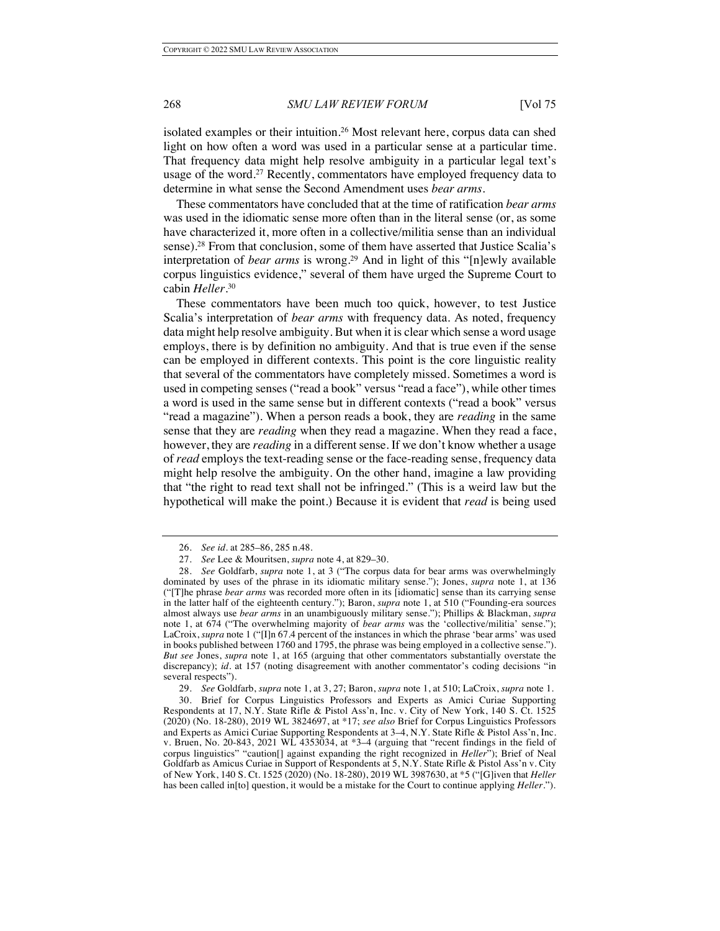isolated examples or their intuition.26 Most relevant here, corpus data can shed light on how often a word was used in a particular sense at a particular time. That frequency data might help resolve ambiguity in a particular legal text's usage of the word.<sup>27</sup> Recently, commentators have employed frequency data to determine in what sense the Second Amendment uses *bear arms*.

These commentators have concluded that at the time of ratification *bear arms* was used in the idiomatic sense more often than in the literal sense (or, as some have characterized it, more often in a collective/militia sense than an individual sense).<sup>28</sup> From that conclusion, some of them have asserted that Justice Scalia's interpretation of *bear arms* is wrong.<sup>29</sup> And in light of this "[n]ewly available corpus linguistics evidence," several of them have urged the Supreme Court to cabin *Heller*. 30

These commentators have been much too quick, however, to test Justice Scalia's interpretation of *bear arms* with frequency data. As noted, frequency data might help resolve ambiguity. But when it is clear which sense a word usage employs, there is by definition no ambiguity. And that is true even if the sense can be employed in different contexts. This point is the core linguistic reality that several of the commentators have completely missed. Sometimes a word is used in competing senses ("read a book" versus "read a face"), while other times a word is used in the same sense but in different contexts ("read a book" versus "read a magazine"). When a person reads a book, they are *reading* in the same sense that they are *reading* when they read a magazine. When they read a face, however, they are *reading* in a different sense. If we don't know whether a usage of *read* employs the text-reading sense or the face-reading sense, frequency data might help resolve the ambiguity. On the other hand, imagine a law providing that "the right to read text shall not be infringed." (This is a weird law but the hypothetical will make the point.) Because it is evident that *read* is being used

29. *See* Goldfarb, *supra* note 1, at 3, 27; Baron, *supra* note 1, at 510; LaCroix, *supra* note 1.

30. Brief for Corpus Linguistics Professors and Experts as Amici Curiae Supporting Respondents at 17, N.Y. State Rifle & Pistol Ass'n, Inc. v. City of New York, 140 S. Ct. 1525 (2020) (No. 18-280), 2019 WL 3824697, at \*17; *see also* Brief for Corpus Linguistics Professors and Experts as Amici Curiae Supporting Respondents at 3–4, N.Y. State Rifle & Pistol Ass'n, Inc. v. Bruen, No. 20-843, 2021 WL 4353034, at \*3–4 (arguing that "recent findings in the field of corpus linguistics" "caution[] against expanding the right recognized in *Heller*"); Brief of Neal Goldfarb as Amicus Curiae in Support of Respondents at 5, N.Y. State Rifle & Pistol Ass'n v. City of New York, 140 S. Ct. 1525 (2020) (No. 18-280), 2019 WL 3987630, at \*5 ("[G]iven that *Heller* has been called in[to] question, it would be a mistake for the Court to continue applying *Heller*.").

<sup>26.</sup> *See id.* at 285–86, 285 n.48.

<sup>27.</sup> *See* Lee & Mouritsen, *supra* note 4, at 829–30.

<sup>28.</sup> *See* Goldfarb, *supra* note 1, at 3 ("The corpus data for bear arms was overwhelmingly dominated by uses of the phrase in its idiomatic military sense."); Jones, *supra* note 1, at 136 ("[T]he phrase *bear arms* was recorded more often in its [idiomatic] sense than its carrying sense in the latter half of the eighteenth century."); Baron, *supra* note 1, at 510 ("Founding-era sources almost always use *bear arms* in an unambiguously military sense."); Phillips & Blackman, *supra*  note 1, at 674 ("The overwhelming majority of *bear arms* was the 'collective/militia' sense."); LaCroix, *supra* note 1 ("[I]n 67.4 percent of the instances in which the phrase 'bear arms' was used in books published between 1760 and 1795, the phrase was being employed in a collective sense."). *But see* Jones, *supra* note 1, at 165 (arguing that other commentators substantially overstate the discrepancy); *id.* at 157 (noting disagreement with another commentator's coding decisions "in several respects").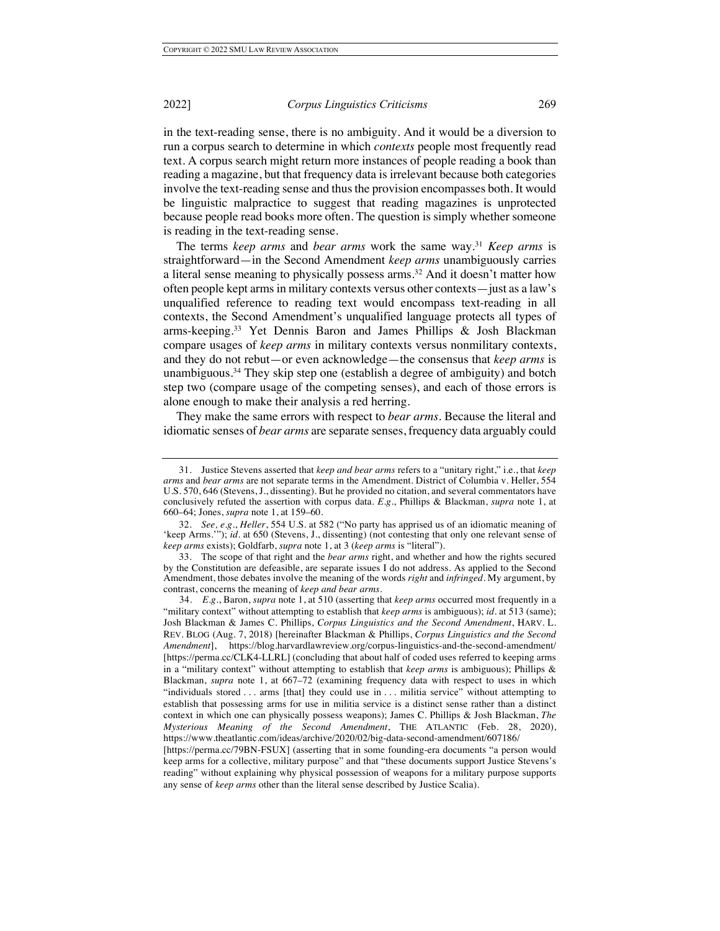in the text-reading sense, there is no ambiguity. And it would be a diversion to run a corpus search to determine in which *contexts* people most frequently read text. A corpus search might return more instances of people reading a book than reading a magazine, but that frequency data is irrelevant because both categories involve the text-reading sense and thus the provision encompasses both. It would be linguistic malpractice to suggest that reading magazines is unprotected because people read books more often. The question is simply whether someone is reading in the text-reading sense.

The terms *keep arms* and *bear arms* work the same way.31 *Keep arms* is straightforward—in the Second Amendment *keep arms* unambiguously carries a literal sense meaning to physically possess arms.<sup>32</sup> And it doesn't matter how often people kept arms in military contexts versus other contexts—just as a law's unqualified reference to reading text would encompass text-reading in all contexts, the Second Amendment's unqualified language protects all types of arms-keeping.33 Yet Dennis Baron and James Phillips & Josh Blackman compare usages of *keep arms* in military contexts versus nonmilitary contexts, and they do not rebut—or even acknowledge—the consensus that *keep arms* is unambiguous. <sup>34</sup> They skip step one (establish a degree of ambiguity) and botch step two (compare usage of the competing senses), and each of those errors is alone enough to make their analysis a red herring.

They make the same errors with respect to *bear arms*. Because the literal and idiomatic senses of *bear arms* are separate senses, frequency data arguably could

<sup>31.</sup> Justice Stevens asserted that *keep and bear arms* refers to a "unitary right," i.e., that *keep arms* and *bear arms* are not separate terms in the Amendment. District of Columbia v. Heller, 554 U.S. 570, 646 (Stevens, J., dissenting). But he provided no citation, and several commentators have conclusively refuted the assertion with corpus data. *E.g.*, Phillips & Blackman, *supra* note 1, at 660–64; Jones, *supra* note 1, at 159–60.

<sup>32.</sup> *See, e.g.*, *Heller*, 554 U.S. at 582 ("No party has apprised us of an idiomatic meaning of 'keep Arms.'"); *id.* at 650 (Stevens, J., dissenting) (not contesting that only one relevant sense of *keep arms* exists); Goldfarb, *supra* note 1, at 3 (*keep arms* is "literal").

<sup>33.</sup> The scope of that right and the *bear arms* right, and whether and how the rights secured by the Constitution are defeasible, are separate issues I do not address. As applied to the Second Amendment, those debates involve the meaning of the words *right* and *infringed*. My argument, by contrast, concerns the meaning of *keep and bear arms*.

<sup>34.</sup> *E.g.*, Baron, *supra* note 1, at 510 (asserting that *keep arms* occurred most frequently in a "military context" without attempting to establish that *keep arms* is ambiguous); *id.* at 513 (same); Josh Blackman & James C. Phillips, *Corpus Linguistics and the Second Amendment*, HARV. L. REV. BLOG (Aug. 7, 2018) [hereinafter Blackman & Phillips, *Corpus Linguistics and the Second Amendment*], https://blog.harvardlawreview.org/corpus-linguistics-and-the-second-amendment/ [https://perma.cc/CLK4-LLRL] (concluding that about half of coded uses referred to keeping arms in a "military context" without attempting to establish that *keep arms* is ambiguous); Phillips & Blackman, *supra* note 1, at 667–72 (examining frequency data with respect to uses in which "individuals stored . . . arms [that] they could use in . . . militia service" without attempting to establish that possessing arms for use in militia service is a distinct sense rather than a distinct context in which one can physically possess weapons); James C. Phillips & Josh Blackman, *The Mysterious Meaning of the Second Amendment*, THE ATLANTIC (Feb. 28, 2020), https://www.theatlantic.com/ideas/archive/2020/02/big-data-second-amendment/607186/

<sup>[</sup>https://perma.cc/79BN-FSUX] (asserting that in some founding-era documents "a person would keep arms for a collective, military purpose" and that "these documents support Justice Stevens's reading" without explaining why physical possession of weapons for a military purpose supports any sense of *keep arms* other than the literal sense described by Justice Scalia).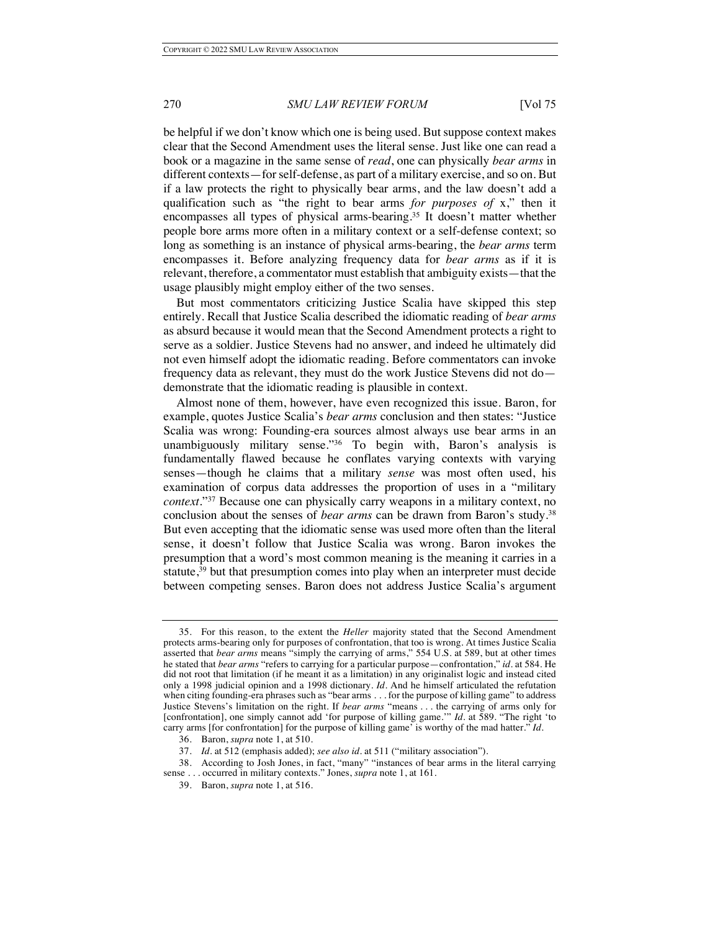be helpful if we don't know which one is being used. But suppose context makes clear that the Second Amendment uses the literal sense. Just like one can read a book or a magazine in the same sense of *read*, one can physically *bear arms* in different contexts—for self-defense, as part of a military exercise, and so on. But if a law protects the right to physically bear arms, and the law doesn't add a qualification such as "the right to bear arms *for purposes of* x," then it encompasses all types of physical arms-bearing.35 It doesn't matter whether people bore arms more often in a military context or a self-defense context; so long as something is an instance of physical arms-bearing, the *bear arms* term encompasses it. Before analyzing frequency data for *bear arms* as if it is relevant, therefore, a commentator must establish that ambiguity exists—that the usage plausibly might employ either of the two senses.

But most commentators criticizing Justice Scalia have skipped this step entirely. Recall that Justice Scalia described the idiomatic reading of *bear arms*  as absurd because it would mean that the Second Amendment protects a right to serve as a soldier. Justice Stevens had no answer, and indeed he ultimately did not even himself adopt the idiomatic reading. Before commentators can invoke frequency data as relevant, they must do the work Justice Stevens did not do demonstrate that the idiomatic reading is plausible in context.

Almost none of them, however, have even recognized this issue. Baron, for example, quotes Justice Scalia's *bear arms* conclusion and then states: "Justice Scalia was wrong: Founding-era sources almost always use bear arms in an unambiguously military sense."36 To begin with, Baron's analysis is fundamentally flawed because he conflates varying contexts with varying senses—though he claims that a military *sense* was most often used, his examination of corpus data addresses the proportion of uses in a "military *context*."37 Because one can physically carry weapons in a military context, no conclusion about the senses of *bear arms* can be drawn from Baron's study.38 But even accepting that the idiomatic sense was used more often than the literal sense, it doesn't follow that Justice Scalia was wrong. Baron invokes the presumption that a word's most common meaning is the meaning it carries in a statute,<sup>39</sup> but that presumption comes into play when an interpreter must decide between competing senses. Baron does not address Justice Scalia's argument

38. According to Josh Jones, in fact, "many" "instances of bear arms in the literal carrying sense . . . occurred in military contexts." Jones, *supra* note 1, at 161.

<sup>35.</sup> For this reason, to the extent the *Heller* majority stated that the Second Amendment protects arms-bearing only for purposes of confrontation, that too is wrong. At times Justice Scalia asserted that *bear arms* means "simply the carrying of arms," 554 U.S. at 589, but at other times he stated that *bear arms* "refers to carrying for a particular purpose—confrontation," *id.* at 584. He did not root that limitation (if he meant it as a limitation) in any originalist logic and instead cited only a 1998 judicial opinion and a 1998 dictionary. *Id.* And he himself articulated the refutation when citing founding-era phrases such as "bear arms . . . for the purpose of killing game" to address Justice Stevens's limitation on the right. If *bear arms* "means . . . the carrying of arms only for [confrontation], one simply cannot add 'for purpose of killing game.'" *Id.* at 589. "The right 'to carry arms [for confrontation] for the purpose of killing game' is worthy of the mad hatter." *Id.*

<sup>36.</sup> Baron, *supra* note 1, at 510.

<sup>37.</sup> *Id.* at 512 (emphasis added); *see also id.* at 511 ("military association").

<sup>39.</sup> Baron, *supra* note 1, at 516.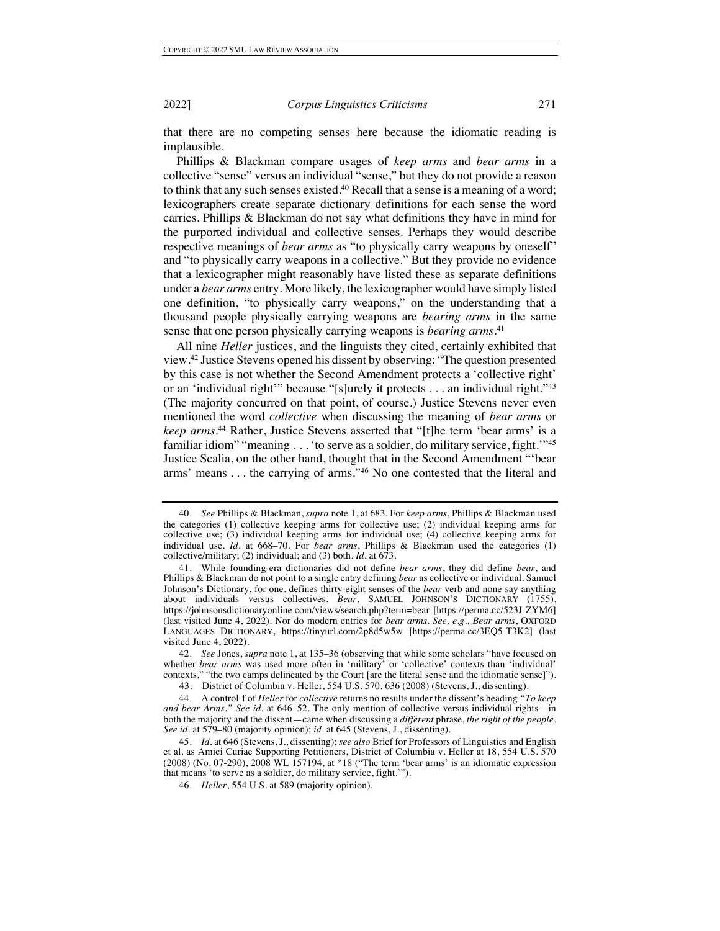that there are no competing senses here because the idiomatic reading is implausible.

Phillips & Blackman compare usages of *keep arms* and *bear arms* in a collective "sense" versus an individual "sense," but they do not provide a reason to think that any such senses existed.<sup>40</sup> Recall that a sense is a meaning of a word; lexicographers create separate dictionary definitions for each sense the word carries. Phillips & Blackman do not say what definitions they have in mind for the purported individual and collective senses. Perhaps they would describe respective meanings of *bear arms* as "to physically carry weapons by oneself" and "to physically carry weapons in a collective." But they provide no evidence that a lexicographer might reasonably have listed these as separate definitions under a *bear arms* entry. More likely, the lexicographer would have simply listed one definition, "to physically carry weapons," on the understanding that a thousand people physically carrying weapons are *bearing arms* in the same sense that one person physically carrying weapons is *bearing arms*. 41

All nine *Heller* justices, and the linguists they cited, certainly exhibited that view.42 Justice Stevens opened his dissent by observing: "The question presented by this case is not whether the Second Amendment protects a 'collective right' or an 'individual right'" because "[s]urely it protects . . . an individual right."43 (The majority concurred on that point, of course.) Justice Stevens never even mentioned the word *collective* when discussing the meaning of *bear arms* or *keep arms*. <sup>44</sup> Rather, Justice Stevens asserted that "[t]he term 'bear arms' is a familiar idiom" "meaning . . . 'to serve as a soldier, do military service, fight.'"45 Justice Scalia, on the other hand, thought that in the Second Amendment "'bear arms' means . . . the carrying of arms."46 No one contested that the literal and

<sup>40.</sup> *See* Phillips & Blackman, *supra* note 1, at 683. For *keep arms*, Phillips & Blackman used the categories (1) collective keeping arms for collective use; (2) individual keeping arms for collective use; (3) individual keeping arms for individual use; (4) collective keeping arms for individual use. *Id.* at 668–70. For *bear arms*, Phillips & Blackman used the categories (1) collective/military; (2) individual; and (3) both. *Id.* at 673.

<sup>41.</sup> While founding-era dictionaries did not define *bear arms*, they did define *bear*, and Phillips & Blackman do not point to a single entry defining *bear* as collective or individual. Samuel Johnson's Dictionary, for one, defines thirty-eight senses of the *bear* verb and none say anything about individuals versus collectives. *Bear*, SAMUEL JOHNSON'S DICTIONARY (1755), https://johnsonsdictionaryonline.com/views/search.php?term=bear [https://perma.cc/523J-ZYM6] (last visited June 4, 2022). Nor do modern entries for *bear arms. See, e.g.*, *Bear arms*, OXFORD LANGUAGES DICTIONARY, https://tinyurl.com/2p8d5w5w [https://perma.cc/3EQ5-T3K2] (last visited June 4, 2022).

<sup>42.</sup> *See* Jones, *supra* note 1, at 135–36 (observing that while some scholars "have focused on whether *bear arms* was used more often in 'military' or 'collective' contexts than 'individual' contexts," "the two camps delineated by the Court [are the literal sense and the idiomatic sense]").

<sup>43.</sup> District of Columbia v. Heller, 554 U.S. 570, 636 (2008) (Stevens, J., dissenting).

<sup>44.</sup> A control-f of *Heller* for *collective* returns no results under the dissent's heading *"To keep and bear Arms." See id.* at 646–52. The only mention of collective versus individual rights—in both the majority and the dissent—came when discussing a *different* phrase, *the right of the people*. *See id.* at 579–80 (majority opinion); *id.* at 645 (Stevens, J., dissenting).

<sup>45.</sup> *Id.* at 646 (Stevens, J., dissenting); *see also* Brief for Professors of Linguistics and English et al. as Amici Curiae Supporting Petitioners, District of Columbia v. Heller at 18, 554 U.S. 570 (2008) (No. 07-290), 2008 WL 157194, at \*18 ("The term 'bear arms' is an idiomatic expression that means 'to serve as a soldier, do military service, fight.'").

<sup>46.</sup> *Heller*, 554 U.S. at 589 (majority opinion).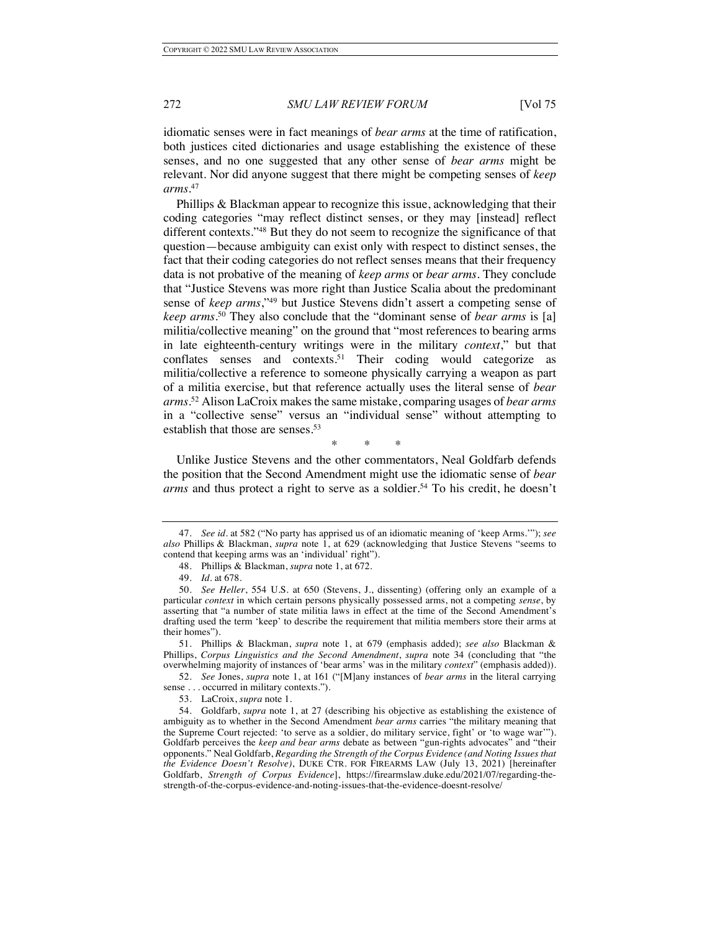idiomatic senses were in fact meanings of *bear arms* at the time of ratification, both justices cited dictionaries and usage establishing the existence of these senses, and no one suggested that any other sense of *bear arms* might be relevant. Nor did anyone suggest that there might be competing senses of *keep arms*. 47

Phillips & Blackman appear to recognize this issue, acknowledging that their coding categories "may reflect distinct senses, or they may [instead] reflect different contexts."48 But they do not seem to recognize the significance of that question—because ambiguity can exist only with respect to distinct senses, the fact that their coding categories do not reflect senses means that their frequency data is not probative of the meaning of *keep arms* or *bear arms*. They conclude that "Justice Stevens was more right than Justice Scalia about the predominant sense of *keep arms*,"49 but Justice Stevens didn't assert a competing sense of *keep arms*. <sup>50</sup> They also conclude that the "dominant sense of *bear arms* is [a] militia/collective meaning" on the ground that "most references to bearing arms in late eighteenth-century writings were in the military *context*," but that conflates senses and contexts. <sup>51</sup> Their coding would categorize as militia/collective a reference to someone physically carrying a weapon as part of a militia exercise, but that reference actually uses the literal sense of *bear arms*. <sup>52</sup> Alison LaCroix makes the same mistake, comparing usages of *bear arms* in a "collective sense" versus an "individual sense" without attempting to establish that those are senses.<sup>53</sup>

\* \* \*

Unlike Justice Stevens and the other commentators, Neal Goldfarb defends the position that the Second Amendment might use the idiomatic sense of *bear arms* and thus protect a right to serve as a soldier.<sup>54</sup> To his credit, he doesn't

<sup>47.</sup> *See id.* at 582 ("No party has apprised us of an idiomatic meaning of 'keep Arms.'"); *see also* Phillips & Blackman, *supra* note 1, at 629 (acknowledging that Justice Stevens "seems to contend that keeping arms was an 'individual' right").

<sup>48.</sup> Phillips & Blackman, *supra* note 1, at 672.

<sup>49.</sup> *Id.* at 678.

<sup>50.</sup> *See Heller*, 554 U.S. at 650 (Stevens, J., dissenting) (offering only an example of a particular *context* in which certain persons physically possessed arms, not a competing *sense*, by asserting that "a number of state militia laws in effect at the time of the Second Amendment's drafting used the term 'keep' to describe the requirement that militia members store their arms at their homes").

<sup>51.</sup> Phillips & Blackman, *supra* note 1, at 679 (emphasis added); *see also* Blackman & Phillips, *Corpus Linguistics and the Second Amendment*, *supra* note 34 (concluding that "the overwhelming majority of instances of 'bear arms' was in the military *context*" (emphasis added)).

<sup>52.</sup> *See* Jones, *supra* note 1, at 161 ("[M]any instances of *bear arms* in the literal carrying sense . . . occurred in military contexts.").

<sup>53.</sup> LaCroix, *supra* note 1.

<sup>54.</sup> Goldfarb, *supra* note 1, at 27 (describing his objective as establishing the existence of ambiguity as to whether in the Second Amendment *bear arms* carries "the military meaning that the Supreme Court rejected: 'to serve as a soldier, do military service, fight' or 'to wage war'"). Goldfarb perceives the *keep and bear arms* debate as between "gun-rights advocates" and "their opponents." Neal Goldfarb, *Regarding the Strength of the Corpus Evidence (and Noting Issues that the Evidence Doesn't Resolve)*, DUKE CTR. FOR FIREARMS LAW (July 13, 2021) [hereinafter Goldfarb, *Strength of Corpus Evidence*], https://firearmslaw.duke.edu/2021/07/regarding-thestrength-of-the-corpus-evidence-and-noting-issues-that-the-evidence-doesnt-resolve/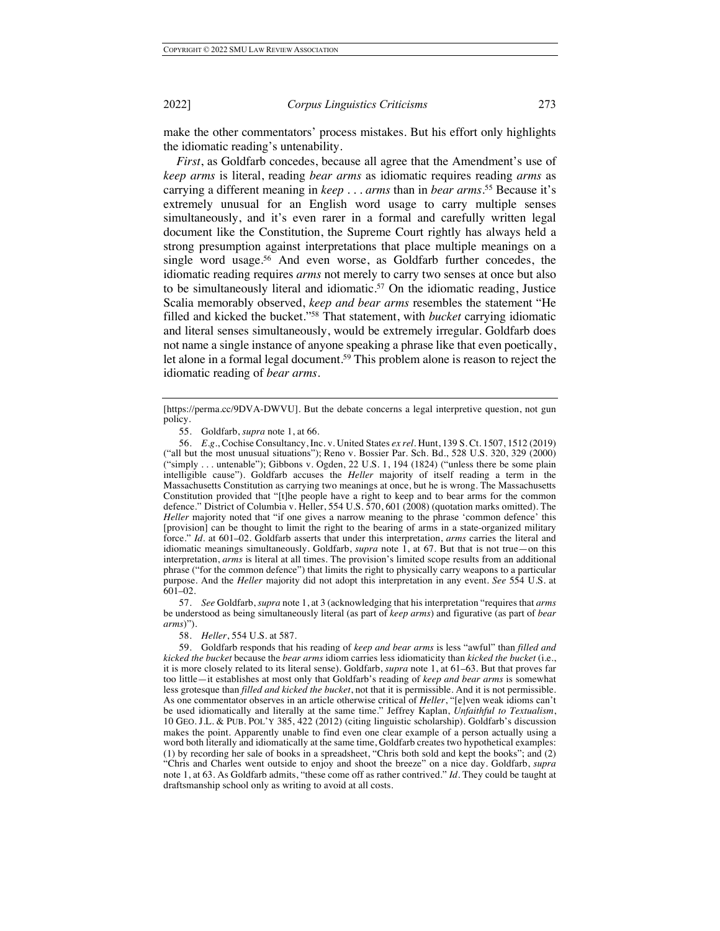make the other commentators' process mistakes. But his effort only highlights the idiomatic reading's untenability.

*First*, as Goldfarb concedes, because all agree that the Amendment's use of *keep arms* is literal, reading *bear arms* as idiomatic requires reading *arms* as carrying a different meaning in *keep . . . arms* than in *bear arms*. <sup>55</sup> Because it's extremely unusual for an English word usage to carry multiple senses simultaneously, and it's even rarer in a formal and carefully written legal document like the Constitution, the Supreme Court rightly has always held a strong presumption against interpretations that place multiple meanings on a single word usage.<sup>56</sup> And even worse, as Goldfarb further concedes, the idiomatic reading requires *arms* not merely to carry two senses at once but also to be simultaneously literal and idiomatic.<sup>57</sup> On the idiomatic reading, Justice Scalia memorably observed, *keep and bear arms* resembles the statement "He filled and kicked the bucket."58 That statement, with *bucket* carrying idiomatic and literal senses simultaneously, would be extremely irregular. Goldfarb does not name a single instance of anyone speaking a phrase like that even poetically, let alone in a formal legal document.<sup>59</sup> This problem alone is reason to reject the idiomatic reading of *bear arms*.

57. *See* Goldfarb, *supra* note 1, at 3 (acknowledging that his interpretation "requires that *arms* be understood as being simultaneously literal (as part of *keep arms*) and figurative (as part of *bear arms*)").

58. *Heller*, 554 U.S. at 587.

<sup>[</sup>https://perma.cc/9DVA-DWVU]. But the debate concerns a legal interpretive question, not gun policy.

<sup>55.</sup> Goldfarb, *supra* note 1, at 66.

<sup>56.</sup> *E.g.*, Cochise Consultancy, Inc. v. United States *ex rel.* Hunt, 139 S. Ct. 1507, 1512 (2019) ("all but the most unusual situations"); Reno v. Bossier Par. Sch. Bd*.*, 528 U.S. 320, 329 (2000) ("simply . . . untenable"); Gibbons v. Ogden, 22 U.S. 1, 194 (1824) ("unless there be some plain intelligible cause"). Goldfarb accuses the *Heller* majority of itself reading a term in the Massachusetts Constitution as carrying two meanings at once, but he is wrong. The Massachusetts Constitution provided that "[t]he people have a right to keep and to bear arms for the common defence." District of Columbia v. Heller, 554 U.S. 570, 601 (2008) (quotation marks omitted). The *Heller* majority noted that "if one gives a narrow meaning to the phrase 'common defence' this [provision] can be thought to limit the right to the bearing of arms in a state-organized military force." *Id.* at 601–02. Goldfarb asserts that under this interpretation, *arms* carries the literal and idiomatic meanings simultaneously. Goldfarb, *supra* note 1, at 67. But that is not true—on this interpretation, *arms* is literal at all times. The provision's limited scope results from an additional phrase ("for the common defence") that limits the right to physically carry weapons to a particular purpose. And the *Heller* majority did not adopt this interpretation in any event. *See* 554 U.S. at 601–02.

<sup>59.</sup> Goldfarb responds that his reading of *keep and bear arms* is less "awful" than *filled and kicked the bucket* because the *bear arms* idiom carries less idiomaticity than *kicked the bucket* (i.e., it is more closely related to its literal sense). Goldfarb, *supra* note 1, at 61–63. But that proves far too little—it establishes at most only that Goldfarb's reading of *keep and bear arms* is somewhat less grotesque than *filled and kicked the bucket*, not that it is permissible. And it is not permissible. As one commentator observes in an article otherwise critical of *Heller*, "[e]ven weak idioms can't be used idiomatically and literally at the same time." Jeffrey Kaplan, *Unfaithful to Textualism*, 10 GEO. J.L. & PUB. POL'Y 385, 422 (2012) (citing linguistic scholarship). Goldfarb's discussion makes the point. Apparently unable to find even one clear example of a person actually using a word both literally and idiomatically at the same time, Goldfarb creates two hypothetical examples: (1) by recording her sale of books in a spreadsheet, "Chris both sold and kept the books"; and (2) "Chris and Charles went outside to enjoy and shoot the breeze" on a nice day. Goldfarb, *supra*  note 1, at 63*.* As Goldfarb admits, "these come off as rather contrived." *Id.* They could be taught at draftsmanship school only as writing to avoid at all costs.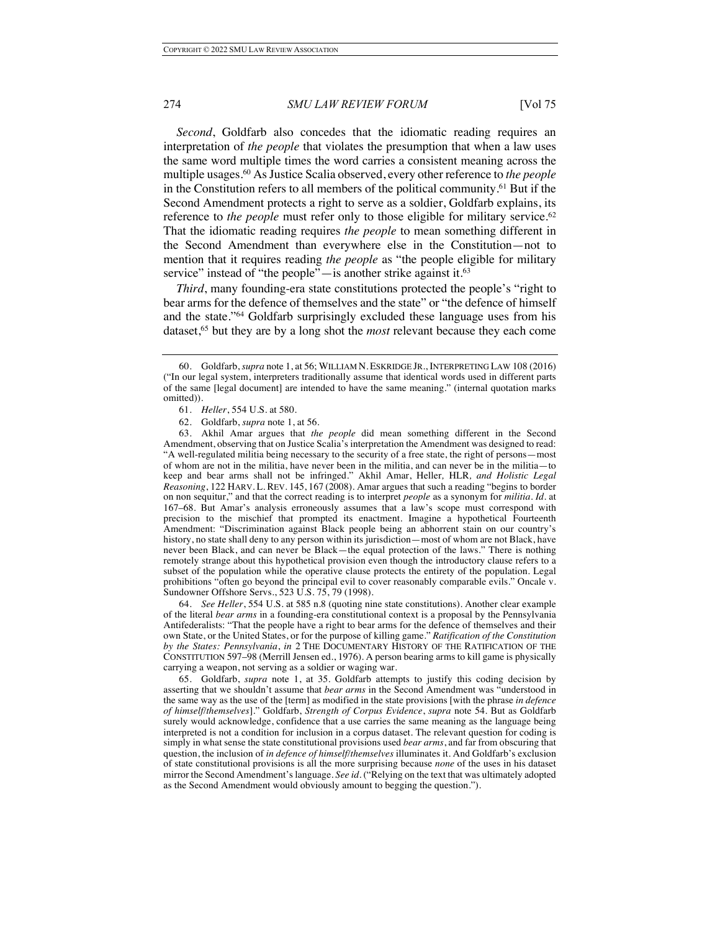*Second*, Goldfarb also concedes that the idiomatic reading requires an interpretation of *the people* that violates the presumption that when a law uses the same word multiple times the word carries a consistent meaning across the multiple usages.60 As Justice Scalia observed, every other reference to *the people* in the Constitution refers to all members of the political community.61 But if the Second Amendment protects a right to serve as a soldier, Goldfarb explains, its reference to *the people* must refer only to those eligible for military service.<sup>62</sup> That the idiomatic reading requires *the people* to mean something different in the Second Amendment than everywhere else in the Constitution—not to mention that it requires reading *the people* as "the people eligible for military service" instead of "the people"—is another strike against it.<sup>63</sup>

*Third*, many founding-era state constitutions protected the people's "right to bear arms for the defence of themselves and the state" or "the defence of himself and the state."64 Goldfarb surprisingly excluded these language uses from his dataset,65 but they are by a long shot the *most* relevant because they each come

64. *See Heller*, 554 U.S. at 585 n.8 (quoting nine state constitutions). Another clear example of the literal *bear arms* in a founding-era constitutional context is a proposal by the Pennsylvania Antifederalists: "That the people have a right to bear arms for the defence of themselves and their own State, or the United States, or for the purpose of killing game." *Ratification of the Constitution by the States: Pennsylvania*, *in* 2 THE DOCUMENTARY HISTORY OF THE RATIFICATION OF THE CONSTITUTION 597–98 (Merrill Jensen ed., 1976). A person bearing arms to kill game is physically carrying a weapon, not serving as a soldier or waging war.

65. Goldfarb, *supra* note 1, at 35. Goldfarb attempts to justify this coding decision by asserting that we shouldn't assume that *bear arms* in the Second Amendment was "understood in the same way as the use of the [term] as modified in the state provisions [with the phrase *in defence of himself/themselves*]." Goldfarb, *Strength of Corpus Evidence*, *supra* note 54. But as Goldfarb surely would acknowledge, confidence that a use carries the same meaning as the language being interpreted is not a condition for inclusion in a corpus dataset. The relevant question for coding is simply in what sense the state constitutional provisions used *bear arms*, and far from obscuring that question, the inclusion of *in defence of himself/themselves* illuminates it. And Goldfarb's exclusion of state constitutional provisions is all the more surprising because *none* of the uses in his dataset mirror the Second Amendment's language. *See id.* ("Relying on the text that was ultimately adopted as the Second Amendment would obviously amount to begging the question.").

<sup>60.</sup> Goldfarb, *supra* note 1, at 56; WILLIAM N. ESKRIDGE JR., INTERPRETING LAW 108 (2016) ("In our legal system, interpreters traditionally assume that identical words used in different parts of the same [legal document] are intended to have the same meaning." (internal quotation marks omitted)).

<sup>61.</sup> *Heller*, 554 U.S. at 580.

<sup>62.</sup> Goldfarb, *supra* note 1, at 56.

<sup>63.</sup> Akhil Amar argues that *the people* did mean something different in the Second Amendment, observing that on Justice Scalia's interpretation the Amendment was designed to read: "A well-regulated militia being necessary to the security of a free state, the right of persons—most of whom are not in the militia, have never been in the militia, and can never be in the militia—to keep and bear arms shall not be infringed." Akhil Amar, Heller*,* HLR*, and Holistic Legal Reasoning*, 122 HARV. L. REV. 145, 167 (2008). Amar argues that such a reading "begins to border on non sequitur," and that the correct reading is to interpret *people* as a synonym for *militia*. *Id.* at 167–68. But Amar's analysis erroneously assumes that a law's scope must correspond with precision to the mischief that prompted its enactment. Imagine a hypothetical Fourteenth Amendment: "Discrimination against Black people being an abhorrent stain on our country's history, no state shall deny to any person within its jurisdiction—most of whom are not Black, have never been Black, and can never be Black—the equal protection of the laws." There is nothing remotely strange about this hypothetical provision even though the introductory clause refers to a subset of the population while the operative clause protects the entirety of the population. Legal prohibitions "often go beyond the principal evil to cover reasonably comparable evils." Oncale v. Sundowner Offshore Servs., 523 U.S. 75, 79 (1998).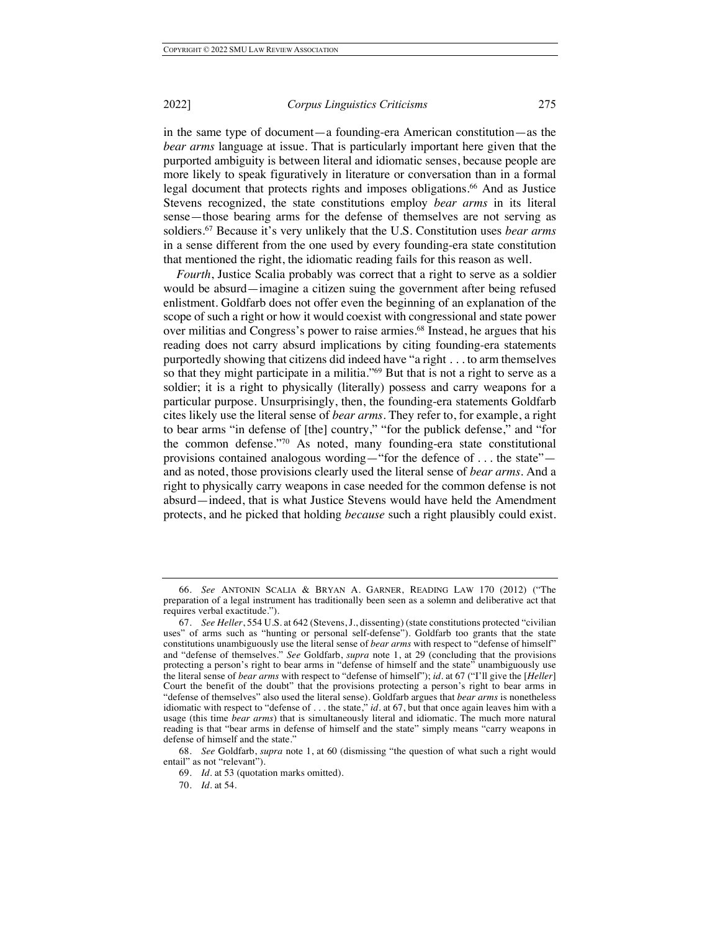in the same type of document—a founding-era American constitution—as the *bear arms* language at issue. That is particularly important here given that the purported ambiguity is between literal and idiomatic senses, because people are more likely to speak figuratively in literature or conversation than in a formal legal document that protects rights and imposes obligations.<sup>66</sup> And as Justice Stevens recognized, the state constitutions employ *bear arms* in its literal sense—those bearing arms for the defense of themselves are not serving as soldiers.67 Because it's very unlikely that the U.S. Constitution uses *bear arms*  in a sense different from the one used by every founding-era state constitution that mentioned the right, the idiomatic reading fails for this reason as well.

*Fourth*, Justice Scalia probably was correct that a right to serve as a soldier would be absurd—imagine a citizen suing the government after being refused enlistment. Goldfarb does not offer even the beginning of an explanation of the scope of such a right or how it would coexist with congressional and state power over militias and Congress's power to raise armies.<sup>68</sup> Instead, he argues that his reading does not carry absurd implications by citing founding-era statements purportedly showing that citizens did indeed have "a right . . . to arm themselves so that they might participate in a militia."<sup>69</sup> But that is not a right to serve as a soldier; it is a right to physically (literally) possess and carry weapons for a particular purpose. Unsurprisingly, then, the founding-era statements Goldfarb cites likely use the literal sense of *bear arms*. They refer to, for example, a right to bear arms "in defense of [the] country," "for the publick defense," and "for the common defense."70 As noted, many founding-era state constitutional provisions contained analogous wording—"for the defence of . . . the state" and as noted, those provisions clearly used the literal sense of *bear arms*. And a right to physically carry weapons in case needed for the common defense is not absurd—indeed, that is what Justice Stevens would have held the Amendment protects, and he picked that holding *because* such a right plausibly could exist.

<sup>66.</sup> *See* ANTONIN SCALIA & BRYAN A. GARNER, READING LAW 170 (2012) ("The preparation of a legal instrument has traditionally been seen as a solemn and deliberative act that requires verbal exactitude.").

<sup>67.</sup> *See Heller*, 554 U.S. at 642 (Stevens, J., dissenting) (state constitutions protected "civilian uses" of arms such as "hunting or personal self-defense"). Goldfarb too grants that the state constitutions unambiguously use the literal sense of *bear arms* with respect to "defense of himself" and "defense of themselves." *See* Goldfarb, *supra* note 1, at 29 (concluding that the provisions protecting a person's right to bear arms in "defense of himself and the state" unambiguously use the literal sense of *bear arms* with respect to "defense of himself"); *id.* at 67 ("I'll give the [*Heller*] Court the benefit of the doubt" that the provisions protecting a person's right to bear arms in "defense of themselves" also used the literal sense). Goldfarb argues that *bear arms* is nonetheless idiomatic with respect to "defense of . . . the state," *id.* at 67, but that once again leaves him with a usage (this time *bear arms*) that is simultaneously literal and idiomatic. The much more natural reading is that "bear arms in defense of himself and the state" simply means "carry weapons in defense of himself and the state."

<sup>68.</sup> *See* Goldfarb, *supra* note 1, at 60 (dismissing "the question of what such a right would entail" as not "relevant").

<sup>69.</sup> *Id.* at 53 (quotation marks omitted).

<sup>70.</sup> *Id.* at 54.